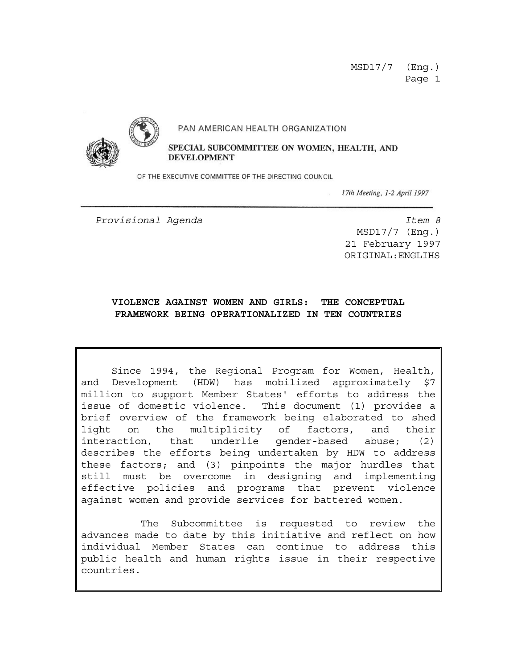#### PAN AMERICAN HEALTH ORGANIZATION



SPECIAL SUBCOMMITTEE ON WOMEN, HEALTH, AND **DEVELOPMENT** 

OF THE EXECUTIVE COMMITTEE OF THE DIRECTING COUNCIL

17th Meeting, 1-2 April 1997

*Provisional Agenda Item 8*

MSD17/7 (Eng.) 21 February 1997 ORIGINAL:ENGLIHS

#### **VIOLENCE AGAINST WOMEN AND GIRLS: THE CONCEPTUAL FRAMEWORK BEING OPERATIONALIZED IN TEN COUNTRIES**

Since 1994, the Regional Program for Women, Health, and Development (HDW) has mobilized approximately \$7 million to support Member States' efforts to address the issue of domestic violence. This document (1) provides a brief overview of the framework being elaborated to shed light on the multiplicity of factors, and their interaction, that underlie gender-based abuse; (2) describes the efforts being undertaken by HDW to address these factors; and (3) pinpoints the major hurdles that still must be overcome in designing and implementing effective policies and programs that prevent violence against women and provide services for battered women.

 The Subcommittee is requested to review the advances made to date by this initiative and reflect on how individual Member States can continue to address this public health and human rights issue in their respective countries.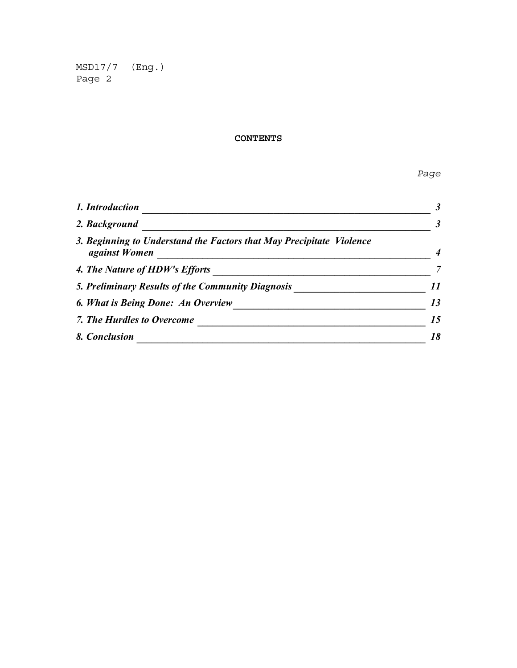#### **CONTENTS**

*Page*

| 1. Introduction                                                                                                                                 |    |                                                   |    |
|-------------------------------------------------------------------------------------------------------------------------------------------------|----|---------------------------------------------------|----|
| 2. Background<br>3. Beginning to Understand the Factors that May Precipitate Violence<br><i>against Women</i><br>4. The Nature of HDW's Efforts |    |                                                   |    |
|                                                                                                                                                 |    | 5. Preliminary Results of the Community Diagnosis |    |
|                                                                                                                                                 |    | 6. What is Being Done: An Overview                | 13 |
| 7. The Hurdles to Overcome                                                                                                                      | 15 |                                                   |    |
| 8. Conclusion                                                                                                                                   | 18 |                                                   |    |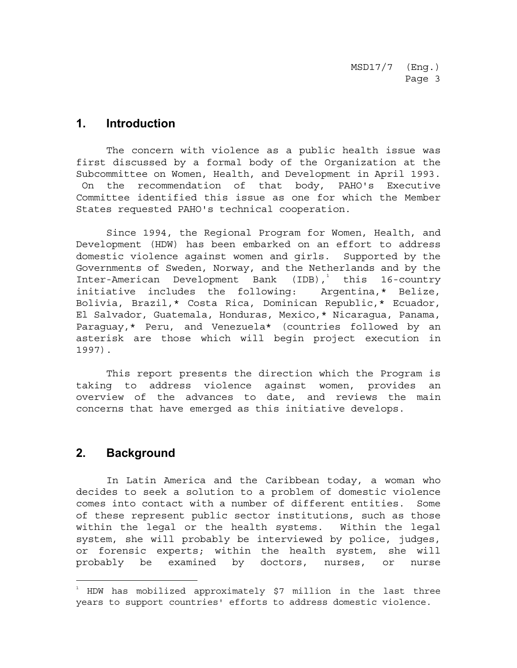### <span id="page-2-0"></span>**1. Introduction**

The concern with violence as a public health issue was first discussed by a formal body of the Organization at the Subcommittee on Women, Health, and Development in April 1993. On the recommendation of that body, PAHO's Executive Committee identified this issue as one for which the Member States requested PAHO's technical cooperation.

Since 1994, the Regional Program for Women, Health, and Development (HDW) has been embarked on an effort to address domestic violence against women and girls. Supported by the Governments of Sweden, Norway, and the Netherlands and by the Inter-American Development Bank (IDB),<sup>1</sup> this 16-country initiative includes the following: Argentina,\* Belize, Bolivia, Brazil,\* Costa Rica, Dominican Republic,\* Ecuador, El Salvador, Guatemala, Honduras, Mexico,\* Nicaragua, Panama, Paraguay,\* Peru, and Venezuela\* (countries followed by an asterisk are those which will begin project execution in 1997).

This report presents the direction which the Program is taking to address violence against women, provides an overview of the advances to date, and reviews the main concerns that have emerged as this initiative develops.

## **2. Background**

-

In Latin America and the Caribbean today, a woman who decides to seek a solution to a problem of domestic violence comes into contact with a number of different entities. Some of these represent public sector institutions, such as those within the legal or the health systems. Within the legal system, she will probably be interviewed by police, judges, or forensic experts; within the health system, she will probably be examined by doctors, nurses, or nurse

 $^\text{\tiny{1}}$  HDW has mobilized approximately \$7 million in the last three years to support countries' efforts to address domestic violence.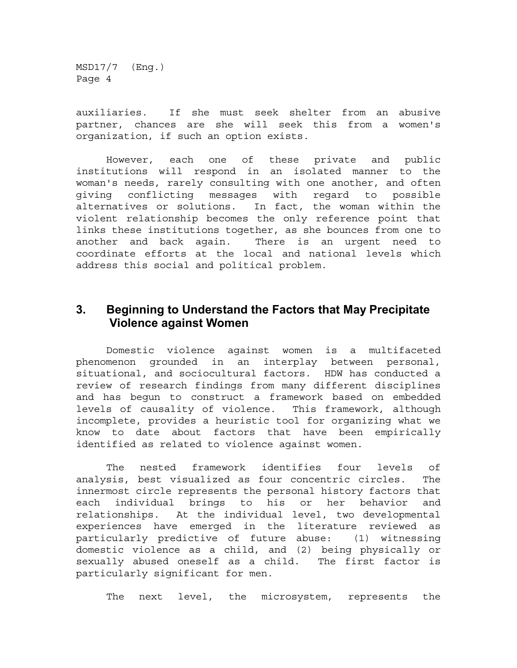<span id="page-3-0"></span>auxiliaries. If she must seek shelter from an abusive partner, chances are she will seek this from a women's organization, if such an option exists.

However, each one of these private and public institutions will respond in an isolated manner to the woman's needs, rarely consulting with one another, and often giving conflicting messages with regard to possible alternatives or solutions. In fact, the woman within the violent relationship becomes the only reference point that links these institutions together, as she bounces from one to another and back again. There is an urgent need to coordinate efforts at the local and national levels which address this social and political problem.

### **3. Beginning to Understand the Factors that May Precipitate Violence against Women**

Domestic violence against women is a multifaceted phenomenon grounded in an interplay between personal, situational, and sociocultural factors. HDW has conducted a review of research findings from many different disciplines and has begun to construct a framework based on embedded levels of causality of violence. This framework, although incomplete, provides a heuristic tool for organizing what we know to date about factors that have been empirically identified as related to violence against women.

The nested framework identifies four levels of analysis, best visualized as four concentric circles. The innermost circle represents the personal history factors that each individual brings to his or her behavior and relationships. At the individual level, two developmental experiences have emerged in the literature reviewed as particularly predictive of future abuse: (1) witnessing domestic violence as a child, and (2) being physically or sexually abused oneself as a child. The first factor is particularly significant for men.

The next level, the microsystem, represents the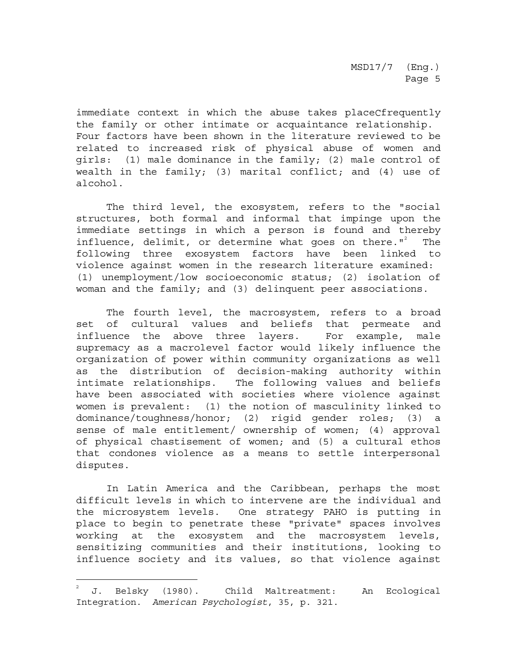immediate context in which the abuse takes placeCfrequently the family or other intimate or acquaintance relationship. Four factors have been shown in the literature reviewed to be related to increased risk of physical abuse of women and girls: (1) male dominance in the family; (2) male control of wealth in the family; (3) marital conflict; and (4) use of alcohol.

The third level, the exosystem, refers to the "social structures, both formal and informal that impinge upon the immediate settings in which a person is found and thereby influence, delimit, or determine what goes on there."<sup>2</sup> The following three exosystem factors have been linked to violence against women in the research literature examined: (1) unemployment/low socioeconomic status; (2) isolation of woman and the family; and (3) delinquent peer associations.

The fourth level, the macrosystem, refers to a broad set of cultural values and beliefs that permeate and influence the above three layers. For example, male supremacy as a macrolevel factor would likely influence the organization of power within community organizations as well as the distribution of decision-making authority within intimate relationships. The following values and beliefs have been associated with societies where violence against women is prevalent: (1) the notion of masculinity linked to dominance/toughness/honor; (2) rigid gender roles; (3) a sense of male entitlement/ ownership of women; (4) approval of physical chastisement of women; and (5) a cultural ethos that condones violence as a means to settle interpersonal disputes.

In Latin America and the Caribbean, perhaps the most difficult levels in which to intervene are the individual and the microsystem levels. One strategy PAHO is putting in place to begin to penetrate these "private" spaces involves working at the exosystem and the macrosystem levels, sensitizing communities and their institutions, looking to influence society and its values, so that violence against

÷

<sup>2</sup> J. Belsky (1980). Child Maltreatment: An Ecological Integration. *American Psychologist*, 35, p. 321.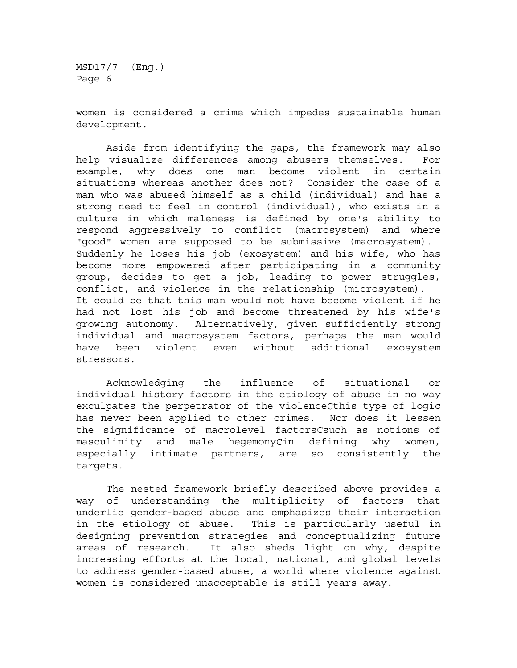women is considered a crime which impedes sustainable human development.

Aside from identifying the gaps, the framework may also help visualize differences among abusers themselves. For example, why does one man become violent in certain situations whereas another does not? Consider the case of a man who was abused himself as a child (individual) and has a strong need to feel in control (individual), who exists in a culture in which maleness is defined by one's ability to respond aggressively to conflict (macrosystem) and where "good" women are supposed to be submissive (macrosystem). Suddenly he loses his job (exosystem) and his wife, who has become more empowered after participating in a community group, decides to get a job, leading to power struggles, conflict, and violence in the relationship (microsystem). It could be that this man would not have become violent if he had not lost his job and become threatened by his wife's growing autonomy. Alternatively, given sufficiently strong individual and macrosystem factors, perhaps the man would have been violent even without additional exosystem stressors.

Acknowledging the influence of situational or individual history factors in the etiology of abuse in no way exculpates the perpetrator of the violenceCthis type of logic has never been applied to other crimes. Nor does it lessen the significance of macrolevel factorsCsuch as notions of masculinity and male hegemonyCin defining why women, especially intimate partners, are so consistently the targets.

The nested framework briefly described above provides a way of understanding the multiplicity of factors that underlie gender-based abuse and emphasizes their interaction in the etiology of abuse. This is particularly useful in designing prevention strategies and conceptualizing future areas of research. It also sheds light on why, despite increasing efforts at the local, national, and global levels to address gender-based abuse, a world where violence against women is considered unacceptable is still years away.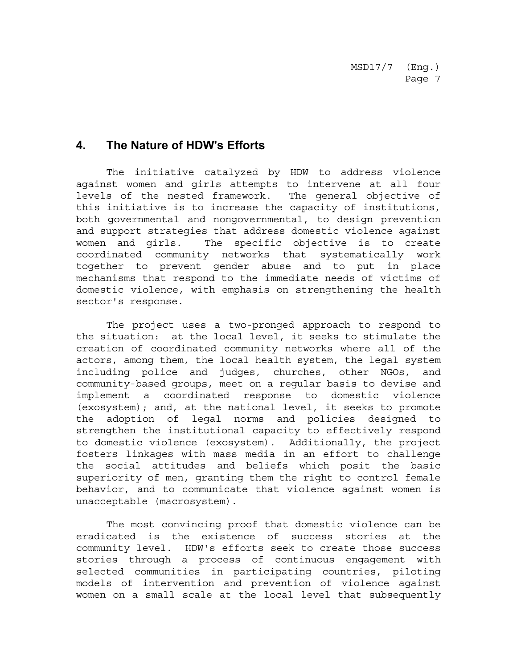# <span id="page-6-0"></span>**4. The Nature of HDW's Efforts**

The initiative catalyzed by HDW to address violence against women and girls attempts to intervene at all four levels of the nested framework. The general objective of this initiative is to increase the capacity of institutions, both governmental and nongovernmental, to design prevention and support strategies that address domestic violence against women and girls. The specific objective is to create coordinated community networks that systematically work together to prevent gender abuse and to put in place mechanisms that respond to the immediate needs of victims of domestic violence, with emphasis on strengthening the health sector's response.

The project uses a two-pronged approach to respond to the situation: at the local level, it seeks to stimulate the creation of coordinated community networks where all of the actors, among them, the local health system, the legal system including police and judges, churches, other NGOs, and community-based groups, meet on a regular basis to devise and implement a coordinated response to domestic violence (exosystem); and, at the national level, it seeks to promote the adoption of legal norms and policies designed to strengthen the institutional capacity to effectively respond to domestic violence (exosystem). Additionally, the project fosters linkages with mass media in an effort to challenge the social attitudes and beliefs which posit the basic superiority of men, granting them the right to control female behavior, and to communicate that violence against women is unacceptable (macrosystem).

The most convincing proof that domestic violence can be eradicated is the existence of success stories at the community level. HDW's efforts seek to create those success stories through a process of continuous engagement with selected communities in participating countries, piloting models of intervention and prevention of violence against women on a small scale at the local level that subsequently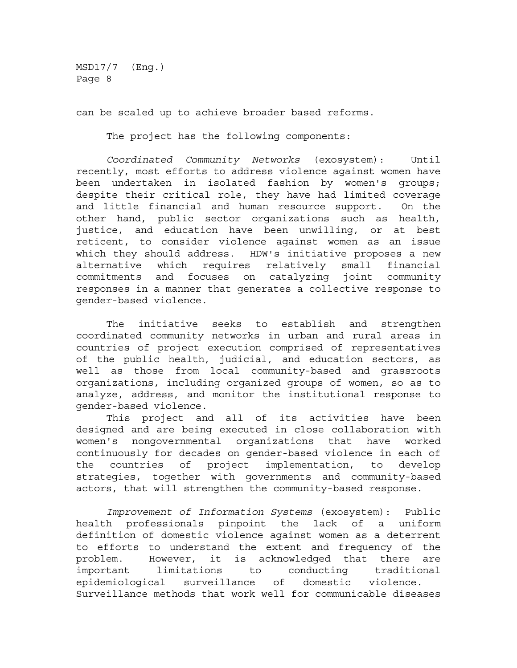can be scaled up to achieve broader based reforms.

The project has the following components:

*Coordinated Community Networks* (exosystem): Until recently, most efforts to address violence against women have been undertaken in isolated fashion by women's groups; despite their critical role, they have had limited coverage and little financial and human resource support. On the other hand, public sector organizations such as health, justice, and education have been unwilling, or at best reticent, to consider violence against women as an issue which they should address. HDW's initiative proposes a new alternative which requires relatively small financial commitments and focuses on catalyzing joint community responses in a manner that generates a collective response to gender-based violence.

The initiative seeks to establish and strengthen coordinated community networks in urban and rural areas in countries of project execution comprised of representatives of the public health, judicial, and education sectors, as well as those from local community-based and grassroots organizations, including organized groups of women, so as to analyze, address, and monitor the institutional response to gender-based violence.

This project and all of its activities have been designed and are being executed in close collaboration with women's nongovernmental organizations that have worked continuously for decades on gender-based violence in each of the countries of project implementation, to develop strategies, together with governments and community-based actors, that will strengthen the community-based response.

*Improvement of Information Systems* (exosystem): Public health professionals pinpoint the lack of a uniform definition of domestic violence against women as a deterrent to efforts to understand the extent and frequency of the problem. However, it is acknowledged that there are important limitations to conducting traditional epidemiological surveillance of domestic violence. Surveillance methods that work well for communicable diseases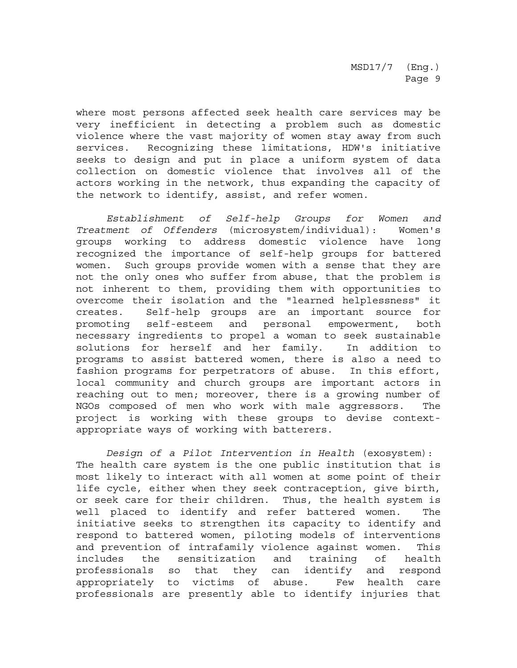where most persons affected seek health care services may be very inefficient in detecting a problem such as domestic violence where the vast majority of women stay away from such services. Recognizing these limitations, HDW's initiative seeks to design and put in place a uniform system of data collection on domestic violence that involves all of the actors working in the network, thus expanding the capacity of the network to identify, assist, and refer women.

*Establishment of Self-help Groups for Women and Treatment of Offenders* (microsystem/individual): Women's groups working to address domestic violence have long recognized the importance of self-help groups for battered women. Such groups provide women with a sense that they are not the only ones who suffer from abuse, that the problem is not inherent to them, providing them with opportunities to overcome their isolation and the "learned helplessness" it creates. Self-help groups are an important source for promoting self-esteem and personal empowerment, both necessary ingredients to propel a woman to seek sustainable solutions for herself and her family. In addition to programs to assist battered women, there is also a need to fashion programs for perpetrators of abuse. In this effort, local community and church groups are important actors in reaching out to men; moreover, there is a growing number of NGOs composed of men who work with male aggressors. The project is working with these groups to devise contextappropriate ways of working with batterers.

*Design of a Pilot Intervention in Health* (exosystem): The health care system is the one public institution that is most likely to interact with all women at some point of their life cycle, either when they seek contraception, give birth, or seek care for their children. Thus, the health system is well placed to identify and refer battered women. The initiative seeks to strengthen its capacity to identify and respond to battered women, piloting models of interventions and prevention of intrafamily violence against women. This includes the sensitization and training of health professionals so that they can identify and respond appropriately to victims of abuse. Few health care professionals are presently able to identify injuries that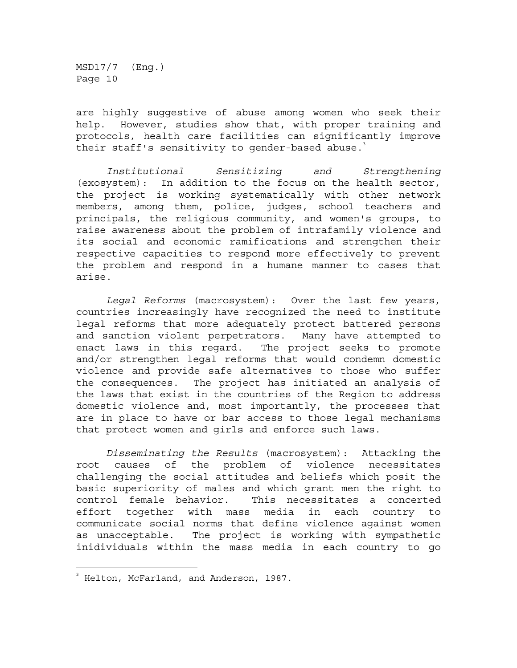are highly suggestive of abuse among women who seek their help. However, studies show that, with proper training and protocols, health care facilities can significantly improve their staff's sensitivity to gender-based abuse.

*Institutional Sensitizing and Strengthening* (exosystem): In addition to the focus on the health sector, the project is working systematically with other network members, among them, police, judges, school teachers and principals, the religious community, and women's groups, to raise awareness about the problem of intrafamily violence and its social and economic ramifications and strengthen their respective capacities to respond more effectively to prevent the problem and respond in a humane manner to cases that arise.

*Legal Reforms* (macrosystem): Over the last few years, countries increasingly have recognized the need to institute legal reforms that more adequately protect battered persons and sanction violent perpetrators. Many have attempted to enact laws in this regard. The project seeks to promote and/or strengthen legal reforms that would condemn domestic violence and provide safe alternatives to those who suffer the consequences. The project has initiated an analysis of the laws that exist in the countries of the Region to address domestic violence and, most importantly, the processes that are in place to have or bar access to those legal mechanisms that protect women and girls and enforce such laws.

*Disseminating the Results* (macrosystem): Attacking the root causes of the problem of violence necessitates challenging the social attitudes and beliefs which posit the basic superiority of males and which grant men the right to control female behavior. This necessitates a concerted effort together with mass media in each country to communicate social norms that define violence against women as unacceptable. The project is working with sympathetic inidividuals within the mass media in each country to go

÷,

<sup>3</sup> Helton, McFarland, and Anderson, 1987.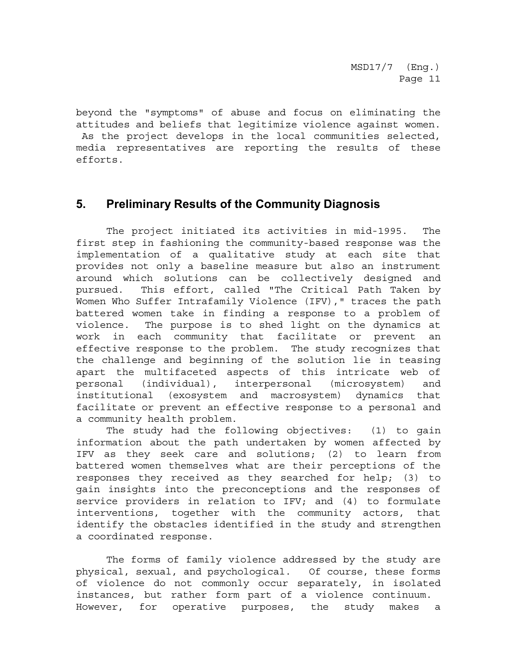<span id="page-10-0"></span>beyond the "symptoms" of abuse and focus on eliminating the attitudes and beliefs that legitimize violence against women. As the project develops in the local communities selected, media representatives are reporting the results of these efforts.

### **5. Preliminary Results of the Community Diagnosis**

The project initiated its activities in mid-1995. The first step in fashioning the community-based response was the implementation of a qualitative study at each site that provides not only a baseline measure but also an instrument around which solutions can be collectively designed and pursued. This effort, called "The Critical Path Taken by Women Who Suffer Intrafamily Violence (IFV)," traces the path battered women take in finding a response to a problem of violence. The purpose is to shed light on the dynamics at work in each community that facilitate or prevent an effective response to the problem. The study recognizes that the challenge and beginning of the solution lie in teasing apart the multifaceted aspects of this intricate web of personal (individual), interpersonal (microsystem) and institutional (exosystem and macrosystem) dynamics that facilitate or prevent an effective response to a personal and a community health problem.

The study had the following objectives: (1) to gain information about the path undertaken by women affected by IFV as they seek care and solutions; (2) to learn from battered women themselves what are their perceptions of the responses they received as they searched for help; (3) to gain insights into the preconceptions and the responses of service providers in relation to IFV; and (4) to formulate interventions, together with the community actors, that identify the obstacles identified in the study and strengthen a coordinated response.

The forms of family violence addressed by the study are physical, sexual, and psychological. Of course, these forms of violence do not commonly occur separately, in isolated instances, but rather form part of a violence continuum. However, for operative purposes, the study makes a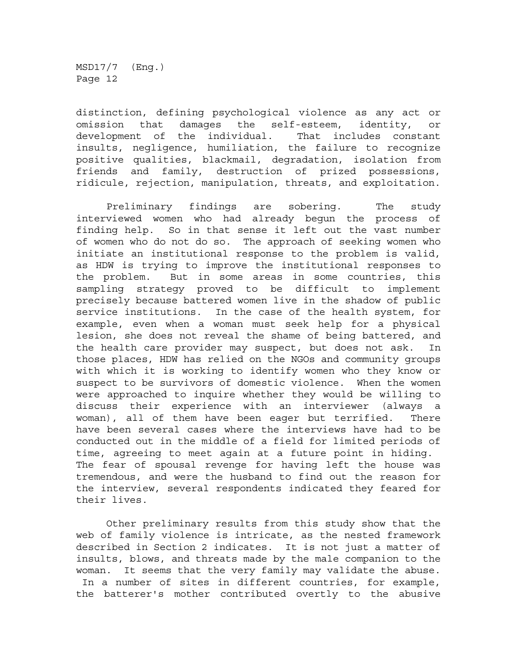distinction, defining psychological violence as any act or omission that damages the self-esteem, identity, or development of the individual. That includes constant insults, negligence, humiliation, the failure to recognize positive qualities, blackmail, degradation, isolation from friends and family, destruction of prized possessions, ridicule, rejection, manipulation, threats, and exploitation.

Preliminary findings are sobering. The study interviewed women who had already begun the process of finding help. So in that sense it left out the vast number of women who do not do so. The approach of seeking women who initiate an institutional response to the problem is valid, as HDW is trying to improve the institutional responses to the problem. But in some areas in some countries, this sampling strategy proved to be difficult to implement precisely because battered women live in the shadow of public service institutions. In the case of the health system, for example, even when a woman must seek help for a physical lesion, she does not reveal the shame of being battered, and the health care provider may suspect, but does not ask. In those places, HDW has relied on the NGOs and community groups with which it is working to identify women who they know or suspect to be survivors of domestic violence. When the women were approached to inquire whether they would be willing to discuss their experience with an interviewer (always a woman), all of them have been eager but terrified. There have been several cases where the interviews have had to be conducted out in the middle of a field for limited periods of time, agreeing to meet again at a future point in hiding. The fear of spousal revenge for having left the house was tremendous, and were the husband to find out the reason for the interview, several respondents indicated they feared for their lives.

Other preliminary results from this study show that the web of family violence is intricate, as the nested framework described in Section 2 indicates. It is not just a matter of insults, blows, and threats made by the male companion to the woman. It seems that the very family may validate the abuse. In a number of sites in different countries, for example, the batterer's mother contributed overtly to the abusive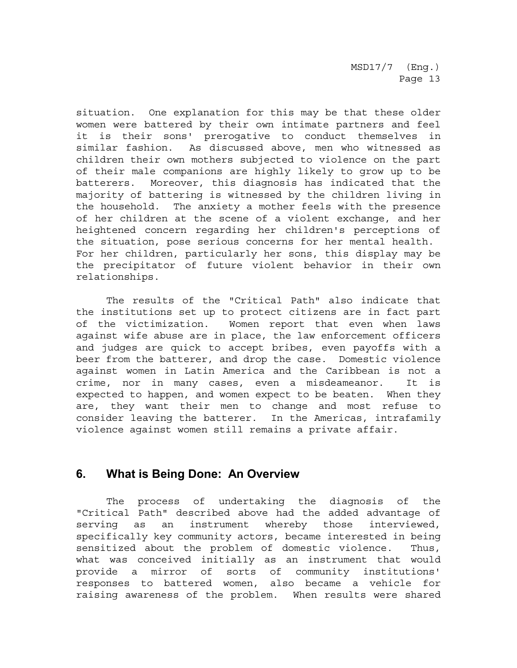<span id="page-12-0"></span>situation. One explanation for this may be that these older women were battered by their own intimate partners and feel it is their sons' prerogative to conduct themselves in similar fashion. As discussed above, men who witnessed as children their own mothers subjected to violence on the part of their male companions are highly likely to grow up to be batterers. Moreover, this diagnosis has indicated that the majority of battering is witnessed by the children living in the household. The anxiety a mother feels with the presence of her children at the scene of a violent exchange, and her heightened concern regarding her children's perceptions of the situation, pose serious concerns for her mental health. For her children, particularly her sons, this display may be the precipitator of future violent behavior in their own relationships.

The results of the "Critical Path" also indicate that the institutions set up to protect citizens are in fact part of the victimization. Women report that even when laws against wife abuse are in place, the law enforcement officers and judges are quick to accept bribes, even payoffs with a beer from the batterer, and drop the case. Domestic violence against women in Latin America and the Caribbean is not a crime, nor in many cases, even a misdeameanor. It is expected to happen, and women expect to be beaten. When they are, they want their men to change and most refuse to consider leaving the batterer. In the Americas, intrafamily violence against women still remains a private affair.

## **6. What is Being Done: An Overview**

The process of undertaking the diagnosis of the "Critical Path" described above had the added advantage of serving as an instrument whereby those interviewed, specifically key community actors, became interested in being sensitized about the problem of domestic violence. Thus, what was conceived initially as an instrument that would provide a mirror of sorts of community institutions' responses to battered women, also became a vehicle for raising awareness of the problem. When results were shared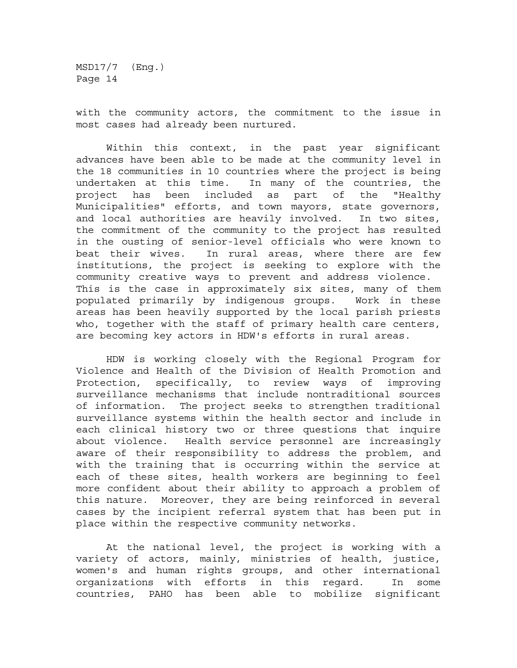with the community actors, the commitment to the issue in most cases had already been nurtured.

Within this context, in the past year significant advances have been able to be made at the community level in the 18 communities in 10 countries where the project is being undertaken at this time. In many of the countries, the project has been included as part of the "Healthy Municipalities" efforts, and town mayors, state governors, and local authorities are heavily involved. In two sites, the commitment of the community to the project has resulted in the ousting of senior-level officials who were known to beat their wives. In rural areas, where there are few institutions, the project is seeking to explore with the community creative ways to prevent and address violence. This is the case in approximately six sites, many of them populated primarily by indigenous groups. Work in these areas has been heavily supported by the local parish priests who, together with the staff of primary health care centers, are becoming key actors in HDW's efforts in rural areas.

HDW is working closely with the Regional Program for Violence and Health of the Division of Health Promotion and Protection, specifically, to review ways of improving surveillance mechanisms that include nontraditional sources of information. The project seeks to strengthen traditional surveillance systems within the health sector and include in each clinical history two or three questions that inquire about violence. Health service personnel are increasingly aware of their responsibility to address the problem, and with the training that is occurring within the service at each of these sites, health workers are beginning to feel more confident about their ability to approach a problem of this nature. Moreover, they are being reinforced in several cases by the incipient referral system that has been put in place within the respective community networks.

At the national level, the project is working with a variety of actors, mainly, ministries of health, justice, women's and human rights groups, and other international organizations with efforts in this regard. In some countries, PAHO has been able to mobilize significant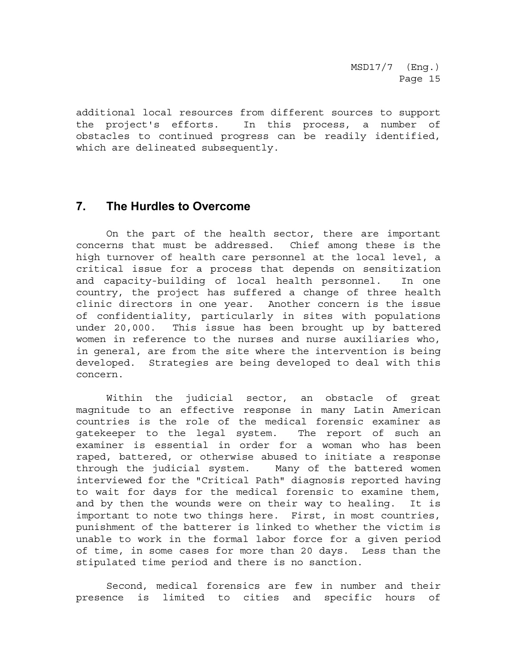<span id="page-14-0"></span>additional local resources from different sources to support the project's efforts. In this process, a number of obstacles to continued progress can be readily identified, which are delineated subsequently.

### **7. The Hurdles to Overcome**

On the part of the health sector, there are important concerns that must be addressed. Chief among these is the high turnover of health care personnel at the local level, a critical issue for a process that depends on sensitization and capacity-building of local health personnel. In one country, the project has suffered a change of three health clinic directors in one year. Another concern is the issue of confidentiality, particularly in sites with populations under 20,000. This issue has been brought up by battered women in reference to the nurses and nurse auxiliaries who, in general, are from the site where the intervention is being developed. Strategies are being developed to deal with this concern.

Within the judicial sector, an obstacle of great magnitude to an effective response in many Latin American countries is the role of the medical forensic examiner as gatekeeper to the legal system. The report of such an examiner is essential in order for a woman who has been raped, battered, or otherwise abused to initiate a response through the judicial system. Many of the battered women interviewed for the "Critical Path" diagnosis reported having to wait for days for the medical forensic to examine them, and by then the wounds were on their way to healing. It is important to note two things here. First, in most countries, punishment of the batterer is linked to whether the victim is unable to work in the formal labor force for a given period of time, in some cases for more than 20 days. Less than the stipulated time period and there is no sanction.

Second, medical forensics are few in number and their presence is limited to cities and specific hours of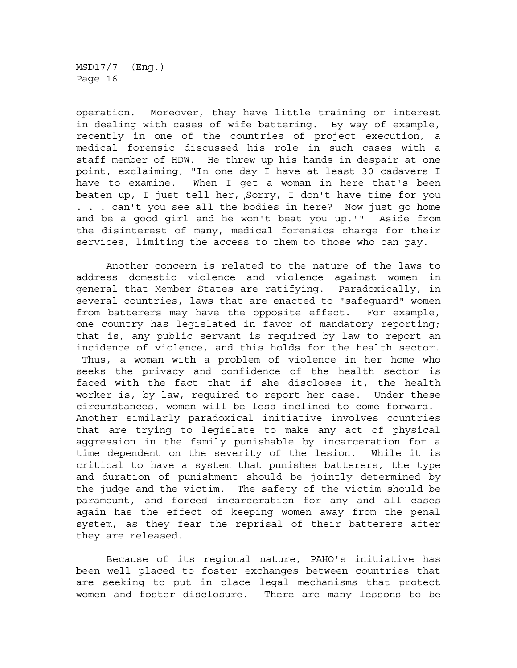operation. Moreover, they have little training or interest in dealing with cases of wife battering. By way of example, recently in one of the countries of project execution, a medical forensic discussed his role in such cases with a staff member of HDW. He threw up his hands in despair at one point, exclaiming, "In one day I have at least 30 cadavers I have to examine. When I get a woman in here that's been beaten up, I just tell her, ,Sorry, I don't have time for you . . . can't you see all the bodies in here? Now just go home and be a good girl and he won't beat you up.'" Aside from the disinterest of many, medical forensics charge for their services, limiting the access to them to those who can pay.

Another concern is related to the nature of the laws to address domestic violence and violence against women in general that Member States are ratifying. Paradoxically, in several countries, laws that are enacted to "safeguard" women from batterers may have the opposite effect. For example, one country has legislated in favor of mandatory reporting; that is, any public servant is required by law to report an incidence of violence, and this holds for the health sector. Thus, a woman with a problem of violence in her home who seeks the privacy and confidence of the health sector is faced with the fact that if she discloses it, the health worker is, by law, required to report her case. Under these circumstances, women will be less inclined to come forward. Another similarly paradoxical initiative involves countries that are trying to legislate to make any act of physical aggression in the family punishable by incarceration for a time dependent on the severity of the lesion. While it is critical to have a system that punishes batterers, the type and duration of punishment should be jointly determined by the judge and the victim. The safety of the victim should be paramount, and forced incarceration for any and all cases again has the effect of keeping women away from the penal system, as they fear the reprisal of their batterers after they are released.

Because of its regional nature, PAHO's initiative has been well placed to foster exchanges between countries that are seeking to put in place legal mechanisms that protect women and foster disclosure. There are many lessons to be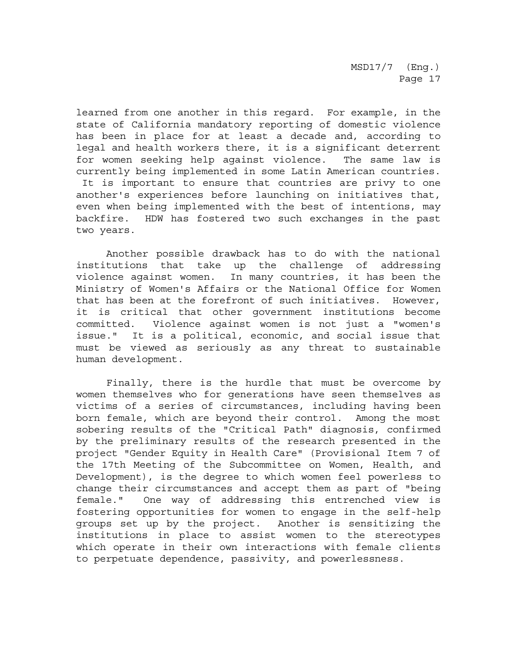learned from one another in this regard. For example, in the state of California mandatory reporting of domestic violence has been in place for at least a decade and, according to legal and health workers there, it is a significant deterrent for women seeking help against violence. The same law is currently being implemented in some Latin American countries. It is important to ensure that countries are privy to one another's experiences before launching on initiatives that, even when being implemented with the best of intentions, may backfire. HDW has fostered two such exchanges in the past two years.

Another possible drawback has to do with the national institutions that take up the challenge of addressing violence against women. In many countries, it has been the Ministry of Women's Affairs or the National Office for Women that has been at the forefront of such initiatives. However, it is critical that other government institutions become committed. Violence against women is not just a "women's issue." It is a political, economic, and social issue that must be viewed as seriously as any threat to sustainable human development.

Finally, there is the hurdle that must be overcome by women themselves who for generations have seen themselves as victims of a series of circumstances, including having been born female, which are beyond their control. Among the most sobering results of the "Critical Path" diagnosis, confirmed by the preliminary results of the research presented in the project "Gender Equity in Health Care" (Provisional Item 7 of the 17th Meeting of the Subcommittee on Women, Health, and Development), is the degree to which women feel powerless to change their circumstances and accept them as part of "being female." One way of addressing this entrenched view is fostering opportunities for women to engage in the self-help groups set up by the project. Another is sensitizing the institutions in place to assist women to the stereotypes which operate in their own interactions with female clients to perpetuate dependence, passivity, and powerlessness.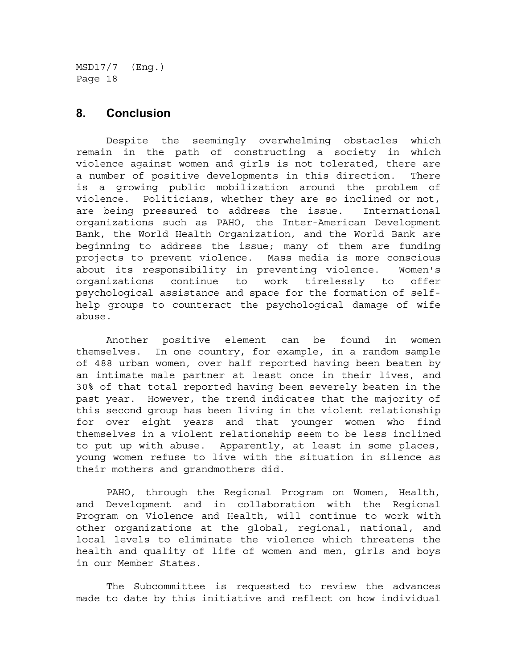#### <span id="page-17-0"></span>**8. Conclusion**

Despite the seemingly overwhelming obstacles which remain in the path of constructing a society in which violence against women and girls is not tolerated, there are a number of positive developments in this direction. There is a growing public mobilization around the problem of violence. Politicians, whether they are so inclined or not, are being pressured to address the issue. International organizations such as PAHO, the Inter-American Development Bank, the World Health Organization, and the World Bank are beginning to address the issue; many of them are funding projects to prevent violence. Mass media is more conscious about its responsibility in preventing violence. Women's organizations continue to work tirelessly to offer psychological assistance and space for the formation of selfhelp groups to counteract the psychological damage of wife abuse.

Another positive element can be found in women themselves. In one country, for example, in a random sample of 488 urban women, over half reported having been beaten by an intimate male partner at least once in their lives, and 30% of that total reported having been severely beaten in the past year. However, the trend indicates that the majority of this second group has been living in the violent relationship for over eight years and that younger women who find themselves in a violent relationship seem to be less inclined to put up with abuse. Apparently, at least in some places, young women refuse to live with the situation in silence as their mothers and grandmothers did.

PAHO, through the Regional Program on Women, Health, and Development and in collaboration with the Regional Program on Violence and Health, will continue to work with other organizations at the global, regional, national, and local levels to eliminate the violence which threatens the health and quality of life of women and men, girls and boys in our Member States.

The Subcommittee is requested to review the advances made to date by this initiative and reflect on how individual